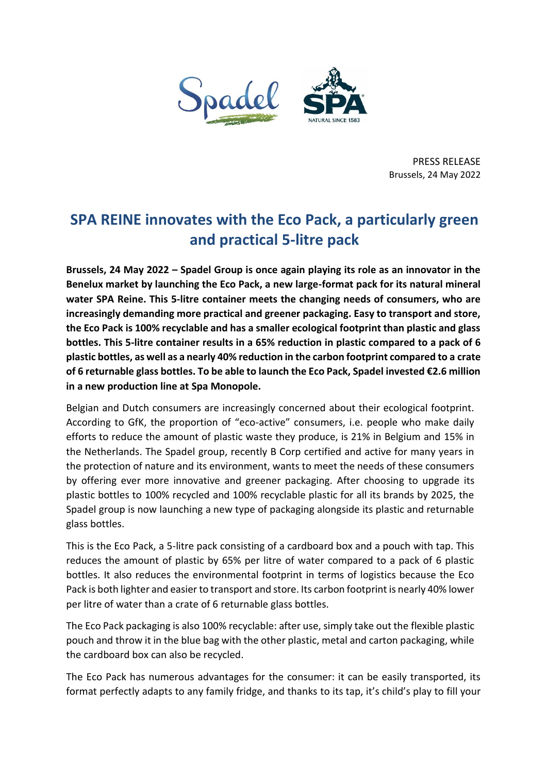

PRESS RELEASE Brussels, 24 May 2022

## **SPA REINE innovates with the Eco Pack, a particularly green and practical 5-litre pack**

**Brussels, 24 May 2022 – Spadel Group is once again playing its role as an innovator in the Benelux market by launching the Eco Pack, a new large-format pack for its natural mineral water SPA Reine. This 5-litre container meets the changing needs of consumers, who are increasingly demanding more practical and greener packaging. Easy to transport and store, the Eco Pack is 100% recyclable and has a smaller ecological footprint than plastic and glass bottles. This 5-litre container results in a 65% reduction in plastic compared to a pack of 6 plastic bottles, as well as a nearly 40% reduction in the carbon footprint compared to a crate of 6 returnable glass bottles. To be able to launch the Eco Pack, Spadel invested €2.6 million in a new production line at Spa Monopole.** 

Belgian and Dutch consumers are increasingly concerned about their ecological footprint. According to GfK, the proportion of "eco-active" consumers, i.e. people who make daily efforts to reduce the amount of plastic waste they produce, is 21% in Belgium and 15% in the Netherlands. The Spadel group, recently B Corp certified and active for many years in the protection of nature and its environment, wants to meet the needs of these consumers by offering ever more innovative and greener packaging. After choosing to upgrade its plastic bottles to 100% recycled and 100% recyclable plastic for all its brands by 2025, the Spadel group is now launching a new type of packaging alongside its plastic and returnable glass bottles.

This is the Eco Pack, a 5-litre pack consisting of a cardboard box and a pouch with tap. This reduces the amount of plastic by 65% per litre of water compared to a pack of 6 plastic bottles. It also reduces the environmental footprint in terms of logistics because the Eco Pack is both lighter and easier to transport and store. Its carbon footprint is nearly 40% lower per litre of water than a crate of 6 returnable glass bottles.

The Eco Pack packaging is also 100% recyclable: after use, simply take out the flexible plastic pouch and throw it in the blue bag with the other plastic, metal and carton packaging, while the cardboard box can also be recycled.

The Eco Pack has numerous advantages for the consumer: it can be easily transported, its format perfectly adapts to any family fridge, and thanks to its tap, it's child's play to fill your